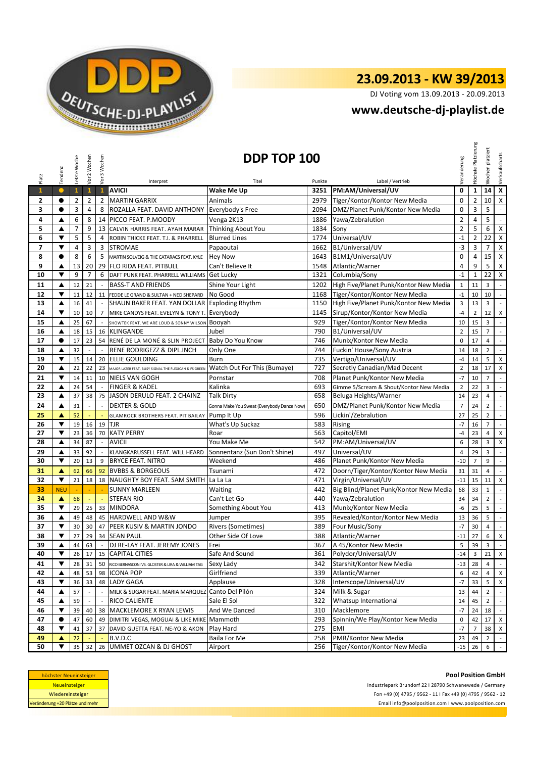

DJ Voting vom 13.09.2013 - 20.09.2013

### **<www.deutsche-dj-playlist.de>**

| Platz                    | Tendenz              | Letzte Woche   | Vor 2 Wochen   | Vor 3 Wochen                | Interpret                                             | DDP TOP 100<br>Titel                       | Punkte | Label / Vertrieb                        | Veränderung    | Höchste Platzierung | platziert<br>Wochen | Verkaufscharts              |
|--------------------------|----------------------|----------------|----------------|-----------------------------|-------------------------------------------------------|--------------------------------------------|--------|-----------------------------------------|----------------|---------------------|---------------------|-----------------------------|
| $\mathbf{1}$             | $\bullet$            | $\mathbf{1}$   | $\mathbf{1}$   | $\mathbf{1}$                | <b>AVICII</b>                                         | <b>Wake Me Up</b>                          | 3251   | PM:AM/Universal/UV                      | $\mathbf 0$    | $\mathbf 1$         | 14                  | $\overline{\mathbf{x}}$     |
| 2                        | $\bullet$            | $\overline{2}$ | 2              | $\overline{2}$              | <b>MARTIN GARRIX</b>                                  | Animals                                    | 2979   | Tiger/Kontor/Kontor New Media           | $\mathbf 0$    | $\overline{2}$      | 10                  | $\overline{\mathbf{x}}$     |
| 3                        | $\bullet$            | 3              | 4              | 8                           | ROZALLA FEAT. DAVID ANTHONY                           | Everybody's Free                           | 2094   | DMZ/Planet Punk/Kontor New Media        | 0              | 3                   | 5                   | $\mathcal{L}_{\mathcal{A}}$ |
| 4                        | ▲                    | 6              | 8              | 14                          | PICCO FEAT. P.MOODY                                   | Venga 2K13                                 | 1886   | Yawa/Zebralution                        | $\overline{2}$ | 4                   | 5                   | $\overline{\phantom{a}}$    |
| 5                        | ▲                    | $\overline{7}$ | 9              |                             | 13 CALVIN HARRIS FEAT. AYAH MARAR                     | Thinking About You                         | 1834   | Sony                                    | $\overline{2}$ | 5                   | 6                   | $\pmb{\mathsf{X}}$          |
| 6                        | ▼                    | 5              | 5              | $\overline{4}$              | ROBIN THICKE FEAT. T.I. & PHARRELL                    | <b>Blurred Lines</b>                       | 1774   | Universal/UV                            | $-1$           | $\overline{2}$      | 22                  | $\pmb{\mathsf{X}}$          |
| $\overline{\phantom{a}}$ | $\blacktriangledown$ | $\overline{4}$ | 3              | 3                           | <b>STROMAE</b>                                        | Papaoutai                                  | 1662   | B1/Universal/UV                         | $-3$           | 3                   | $\overline{7}$      | $\pmb{\times}$              |
| 8                        | $\bullet$            | 8              | 6              | 5                           | MARTIN SOLVEIG & THE CATARACS FEAT. KYLE              | <b>Hey Now</b>                             | 1643   | B1M1/Universal/UV                       | 0              | 4                   | 15                  | $\mathsf X$                 |
| 9                        | ▲                    | 13             | 20             | 29                          | <b>FLO RIDA FEAT. PITBULL</b>                         | Can't Believe It                           | 1548   | Atlantic/Warner                         | $\overline{4}$ | 9                   | 5                   | $\pmb{\chi}$                |
| 10                       | ▼                    | 9              | $\overline{7}$ | 6                           | DAFT PUNK FEAT. PHARRELL WILLIAMS                     | Get Lucky                                  | 1321   | Columbia/Sony                           | $-1$           | $\mathbf{1}$        | 22                  | $\pmb{\mathsf{X}}$          |
| 11                       | $\blacktriangle$     | 12             | 21             | $\mathbb{Z}$                | <b>BASS-T AND FRIENDS</b>                             | Shine Your Light                           | 1202   | High Five/Planet Punk/Kontor New Media  | $\mathbf{1}$   | 11                  | 3                   | $\sim$                      |
| 12                       | ▼                    | 11             | 12             |                             | 11 FEDDE LE GRAND & SULTAN + NED SHEPARD              | No Good                                    | 1168   | Tiger/Kontor/Kontor New Media           | $-1$           | 10                  | 10                  | $\sim$                      |
| 13                       | ▲                    | 16             | 41             |                             | SHAUN BAKER FEAT. YAN DOLLAR                          | <b>Exploding Rhythm</b>                    | 1150   | High Five/Planet Punk/Kontor New Media  | $\overline{3}$ | 13                  | 3                   | $\omega$                    |
| 14                       | ▼                    | 10             | 10             | $\overline{7}$              | MIKE CANDYS FEAT. EVELYN & TONY T.                    | Everybody                                  | 1145   | Sirup/Kontor/Kontor New Media           | $-4$           | $\overline{2}$      | 12                  | X                           |
| 15                       | ▲                    | 25             | 67             |                             | SHOWTEK FEAT. WE ARE LOUD & SONNY WILSON              | Booyah                                     | 929    | Tiger/Kontor/Kontor New Media           | 10             | 15                  | 3                   | $\sim$                      |
| 16                       | ▲                    | 18             | 15             |                             | 16 KLINGANDE                                          | Jubel                                      | 790    | B1/Universal/UV                         | $\overline{2}$ | 15                  | $\overline{7}$      | $\mathcal{L}^{\mathcal{A}}$ |
| 17                       | $\bullet$            | 17             | 23             |                             | 54 RENÉ DE LA MONÉ & SLIN PROJECT                     | Baby Do You Know                           | 746    | Munix/Kontor New Media                  | $\mathbf 0$    | 17                  | 4                   | $\sim$                      |
| 18                       | ▲                    | 32             | ÷,             | $\mathcal{L}_{\mathcal{A}}$ | RENE RODRIGEZZ & DIPL.INCH                            | Only One                                   | 744    | Fuckin' House/Sony Austria              | 14             | 18                  | $\overline{2}$      | $\mathbb{Z}^2$              |
| 19                       | ▼                    | 15             | 14             | 20                          | ELLIE GOULDING                                        | Burn                                       | 735    | Vertigo/Universal/UV                    | $-4$           | 14                  | 5                   | $\mathsf X$                 |
| 20                       | ▲                    | 22             | 22             | 23                          | MAJOR LAZER FEAT. BUSY SIGNAL THE FLEXICAN & FS GREEN | Watch Out For This (Bumaye)                | 727    | Secretly Canadian/Mad Decent            | $\overline{2}$ | 18                  | 17                  | X                           |
| 21                       | ▼                    | 14             | 11             |                             | 10 NIELS VAN GOGH                                     | Pornstar                                   | 708    | Planet Punk/Kontor New Media            | $-7$           | 10                  | $\overline{7}$      | $\mathcal{L}_{\mathcal{A}}$ |
| 22                       | ▲                    | 24             | 54             |                             | <b>FINGER &amp; KADEL</b>                             | Kalinka                                    | 693    | Gimme 5/Scream & Shout/Kontor New Media | $\overline{2}$ | 22                  | 3                   | $\sim$                      |
| 23                       | ▲                    | 37             | 38             | 75                          | JASON DERULO FEAT. 2 CHAINZ                           | <b>Talk Dirty</b>                          | 658    | Beluga Heights/Warner                   | 14             | 23                  | $\overline{4}$      | $\mathbb{Z}^+$              |
| 24                       | ▲                    | 31             | $\overline{a}$ | $\overline{a}$              | <b>DEXTER &amp; GOLD</b>                              | Gonna Make You Sweat (Everybody Dance Now) | 650    | DMZ/Planet Punk/Kontor New Media        | $\overline{7}$ | 24                  | $\overline{2}$      | $\mathbb{Z}^{\mathbb{Z}}$   |
| 25                       | ▲                    | 52             |                |                             | <b>GLAMROCK BROTHERS FEAT. PIT BAILAY</b>             | Pump It Up                                 | 596    | Lickin'/Zebralution                     | 27             | 25                  | $\overline{2}$      | $\mathbb{R}^2$              |
| 26                       | $\blacktriangledown$ | 19             | 16             | 19                          | <b>TJR</b>                                            | What's Up Suckaz                           | 583    | Rising                                  | $-7$           | 16                  | $\overline{7}$      | $\mathbb{L}$                |
| 27                       | ▼                    | 23             | 36             | 70                          | <b>KATY PERRY</b>                                     | Roar                                       | 563    | Capitol/EMI                             | $-4$           | 23                  | $\overline{4}$      | X                           |
| 28                       | ▲                    | 34             | 87             | $\overline{\phantom{a}}$    | <b>AVICII</b>                                         | You Make Me                                | 542    | PM:AM/Universal/UV                      | 6              | 28                  | 3                   | $\pmb{\mathsf{X}}$          |
| 29                       | ▲                    | 33             | 92             |                             | KLANGKARUSSELL FEAT. WILL HEARD                       | Sonnentanz (Sun Don't Shine)               | 497    | Universal/UV                            | $\overline{4}$ | 29                  | 3                   | $\sim$                      |
| 30                       | ▼                    | 20             | 13             | 9                           | <b>BRYCE FEAT. NITRO</b>                              | Weekend                                    | 486    | Planet Punk/Kontor New Media            | $-10$          | $\overline{7}$      | 9                   | $\mathbb{Z}^2$              |
| 31                       | ▲                    | 62             | 66             | 92                          | <b>BVBBS &amp; BORGEOUS</b>                           | Tsunami                                    | 472    | Doorn/Tiger/Kontor/Kontor New Media     | 31             | 31                  | $\overline{4}$      | $\mathbb{Z}^{\mathbb{Z}}$   |
| 32                       | ▼                    | 21             | 18             |                             | 18 NAUGHTY BOY FEAT. SAM SMITH                        | La La La                                   | 471    | Virgin/Universal/UV                     | $-11$          | 15                  | 11                  | $\pmb{\chi}$                |
| 33                       | <b>NEU</b>           |                |                |                             | <b>SUNNY MARLEEN</b>                                  | Waiting                                    | 442    | Big Blind/Planet Punk/Kontor New Media  | 68             | 33                  | $\mathbf{1}$        | $\overline{\phantom{a}}$    |
| 34                       | ▲                    | 68             | ÷.             | ÷.                          | <b>STEFAN RIO</b>                                     | Can't Let Go                               | 440    | Yawa/Zebralution                        | 34             | 34                  | $\overline{2}$      | $\mathbb{Z}^2$              |
| 35                       | $\blacktriangledown$ | 29             | 25             |                             | 33 MINDORA                                            | Something About You                        | 413    | Munix/Kontor New Media                  | -6             | 25                  | 5                   | $\mathbb{Z}^2$              |
| 36                       | ▲                    | 49             | 48             |                             | 45 HARDWELL AND W&W                                   | Jumper                                     | 395    | Revealed/Kontor/Kontor New Media        | 13             | 36                  | 5                   | $\sim$                      |
| 37                       | ▼                    | 30             | 30             |                             | 47 PEER KUSIV & MARTIN JONDO                          | <b>Rivers (Sometimes)</b>                  | 389    | Four Music/Sony                         | $-7$           | 30                  | 4                   | $\mathbb{Z}^2$              |
| 38                       | ▼                    | 27             | 29             |                             | 34 SEAN PAUL                                          | Other Side Of Love                         | 388    | Atlantic/Warner                         | $-11$          | 27                  | 6                   | $\pmb{\mathsf{X}}$          |
| 39                       | ▲                    | 44             | 63             | $\overline{\phantom{a}}$    | DJ RE-LAY FEAT. JEREMY JONES                          | Frei                                       | 367    | A 45/Kontor New Media                   | 5              | 39                  | 3                   | $\sim$                      |
| 40                       | ▼                    | 26             | 17             | 15                          | <b>CAPITAL CITIES</b>                                 | Safe And Sound                             | 361    | Polydor/Universal/UV                    | $-14$          | 3                   | 21                  | $\mathsf X$                 |
| 41                       | ▼                    | 28             | 31             |                             | 50 RICO BERNASCONI VS. GLOSTER & LIRA & WILLIAM TAG   | Sexy Lady                                  | 342    | Starshit/Kontor New Media               | $-13$          | 28                  | 4                   | $\sim$                      |
| 42                       | ▲                    | 48             | 53             |                             | 98 ICONA POP                                          | Girlfriend                                 | 339    | Atlantic/Warner                         | 6              | 42                  | 4                   | $\times$                    |
| 43                       | ▼                    | 36             | 33             |                             | 48 LADY GAGA                                          | Applause                                   | 328    | Interscope/Universal/UV                 | $-7$           | 33                  | 5                   | X                           |
| 44                       | ▲                    | 57             |                |                             | MILK & SUGAR FEAT. MARIA MARQUEZ                      | Canto Del Pilón                            | 324    | Milk & Sugar                            | 13             | 44                  | $\overline{2}$      |                             |
| 45                       | ▲                    | 59             | $\overline{a}$ | $\overline{a}$              | RICO CALIENTE                                         | Sale El Sol                                | 322    | Whatsup International                   | 14             | 45                  | $\overline{2}$      | $\sim$                      |
| 46                       | ▼                    | 39             | 40             | 38                          | MACKLEMORE X RYAN LEWIS                               | And We Danced                              | 310    | Macklemore                              | $-7$           | 24                  | 18                  | $\sim$                      |
| 47                       | $\bullet$            | 47             | 60             | 49                          | DIMITRI VEGAS, MOGUAI & LIKE MIKE                     | Mammoth                                    | 293    | Spinnin/We Play/Kontor New Media        | 0              | 42                  | 17 <sup>1</sup>     | $\mathsf{X}$                |
| 48                       | ▼                    | 41             | 37             |                             | 37 DAVID GUETTA FEAT. NE-YO & AKON                    | Play Hard                                  | 275    | <b>EMI</b>                              | $-7$           | $\overline{7}$      | 38 X                |                             |
| 49                       | ▲                    | 72             |                |                             | B.V.D.C                                               | Baila For Me                               | 258    | PMR/Kontor New Media                    | 23             | 49                  | $\overline{2}$      | $\sim$                      |
| 50                       | ▼                    | 35             | 32             | 26                          | <b>UMMET OZCAN &amp; DJ GHOST</b>                     | Airport                                    | 256    | Tiger/Kontor/Kontor New Media           | $-15$          | 26                  | 6                   | $\mathcal{A}^{\pm}$         |

| höchster Neueinsteiger          |  |  |  |  |  |
|---------------------------------|--|--|--|--|--|
| <b>Neueinsteiger</b>            |  |  |  |  |  |
| Wiedereinsteiger                |  |  |  |  |  |
| Veränderung +20 Plätze und mehr |  |  |  |  |  |

**Pool Position GmbH** Industriepark Brundorf 22 I 28790 Schwanewede / Germany Fon +49 (0) 4795 / 9562 - 11 I Fax +49 (0) 4795 / 9562 - 12 <Email info@poolposition.com I www.poolposition.com>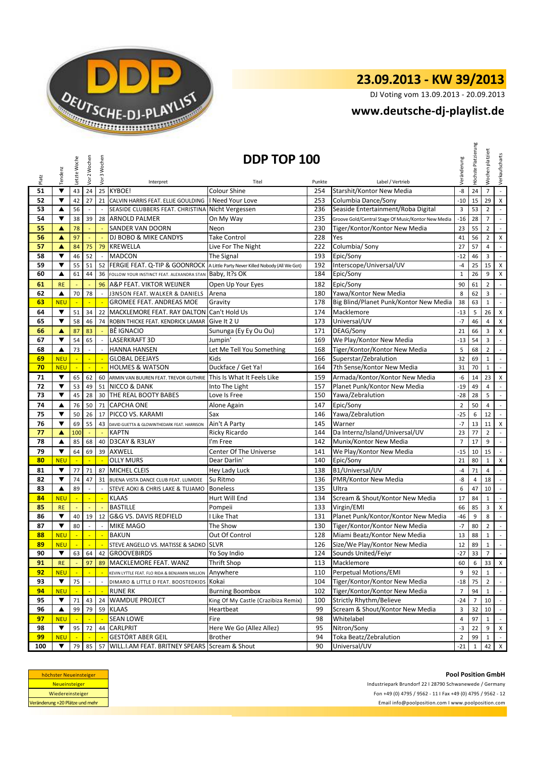

DJ Voting vom 13.09.2013 - 20.09.2013

### **<www.deutsche-dj-playlist.de>**

|          | Tendenz                  | Letzte Woche   | Vor 2 Wochen             | Vor 3 Wochen               |                                                                     | DDP TOP 100                                     |            |                                                                | Veränderung    | Platzierung<br>Höchste | Wochen platziert      | Verkaufscharts              |
|----------|--------------------------|----------------|--------------------------|----------------------------|---------------------------------------------------------------------|-------------------------------------------------|------------|----------------------------------------------------------------|----------------|------------------------|-----------------------|-----------------------------|
| Platz    |                          |                |                          |                            | Interpret                                                           | Titel                                           | Punkte     | Label / Vertrieb                                               |                |                        |                       |                             |
| 51       | $\blacktriangledown$     | 43             | 24                       |                            | 25 KYBOE!                                                           | Colour Shine                                    | 254        | Starshit/Kontor New Media                                      | -8             | 24                     | $\overline{7}$        | $\mathbb{Z}^2$              |
| 52       | ▼                        | 42             | 27                       | 21                         | CALVIN HARRIS FEAT. ELLIE GOULDING                                  | I Need Your Love                                | 253        | Columbia Dance/Sony                                            | $-10$          | 15                     | 29                    | $\pmb{\times}$              |
| 53       | ▲                        | 56             |                          |                            | SEASIDE CLUBBERS FEAT. CHRISTINA                                    | Nicht Vergessen                                 | 236        | Seaside Entertainment/Roba Digital                             | 3              | 53                     | $\overline{2}$        | $\mathbb{Z}^2$              |
| 54       | $\blacktriangledown$     | 38             | 39                       |                            | 28 ARNOLD PALMER                                                    | On My Way                                       | 235        | Groove Gold/Central Stage Of Music/Kontor New Media            | $-16$          | 28                     | $\overline{7}$        | $\sim$                      |
| 55       | ▲                        | 78             |                          |                            | SANDER VAN DOORN                                                    | Neon                                            | 230        | Tiger/Kontor/Kontor New Media                                  | 23             | 55                     | $\overline{2}$        | $\mathbb{L}$                |
| 56       | A                        | 97             |                          |                            | DJ BOBO & MIKE CANDYS                                               | Take Control                                    | 228        | Yes                                                            | 41             | 56                     | $\overline{2}$        | X                           |
| 57       | ▲                        | 84             | 75                       | 79                         | KREWELLA                                                            | Live For The Night                              | 222        | Columbia/ Sony                                                 | 27             | 57                     | $\overline{4}$        | $\mathbb{Z}^2$              |
| 58       | ▼<br>▼                   | 46             | 52                       | $\blacksquare$             | <b>MADCON</b>                                                       | The Signal                                      | 193        | Epic/Sony                                                      | $-12$          | 46                     | 3                     | $\sim$                      |
| 59<br>60 |                          | 55             | 51                       | 52                         | FERGIE FEAT. Q-TIP & GOONROCK                                       | A Little Party Never Killed Nobody (All We Got) | 192<br>184 | Interscope/Universal/UV                                        | $-4$           | 25                     | 15 <sup>1</sup>       | $\mathsf{x}$                |
|          | ▲                        | 61             | 44                       | 36                         | FOLLOW YOUR INSTINCT FEAT. ALEXANDRA STAN                           | Baby, It?s OK                                   |            | Epic/Sony                                                      | $\mathbf{1}$   | 26                     | 9                     | $\pmb{\times}$              |
| 61       | <b>RE</b>                |                |                          | 96                         | A&P FEAT. VIKTOR WEIJNER                                            | Open Up Your Eyes                               | 182        | Epic/Sony                                                      | 90             | 61                     | $\overline{2}$        | $\mathbb{Z}^2$              |
| 62       | ▲                        | 70             | 78                       |                            | J3N5ON FEAT. WALKER & DANIELS                                       | Arena                                           | 180        | Yawa/Kontor New Media                                          | 8              | 62                     | 3                     | $\mathbb{R}^{\mathbb{Z}}$   |
| 63       | <b>NEU</b>               | ÷              |                          |                            | GROMEE FEAT. ANDREAS MOE                                            | Gravity                                         | 178        | Big Blind/Planet Punk/Kontor New Media                         | 38             | 63                     | $\mathbf{1}$          | $\sim$                      |
| 64       | ▼                        | 51             | 34                       |                            | 22 MACKLEMORE FEAT. RAY DALTON                                      | Can't Hold Us                                   | 174        | Macklemore                                                     | $-13$          | 5                      | 26                    | $\pmb{\mathsf{X}}$          |
| 65       | ▼                        | 58             | 46                       |                            | 74 ROBIN THICKE FEAT. KENDRICK LAMAR                                | Give It 2 U                                     | 173        | Universal/UV                                                   | $-7$           | 46                     | $\overline{4}$        | X                           |
| 66       | ▲                        | 87             | 83                       |                            | <b>BÊ IGNACIO</b>                                                   | Sununga (Ey Ey Ou Ou)                           | 171        | DEAG/Sony                                                      | 21             | 66                     | 3                     | $\mathsf{X}$                |
| 67       | $\blacktriangledown$     | 54             | 65                       |                            | <b>LASERKRAFT 3D</b>                                                | Jumpin'                                         | 169        | We Play/Kontor New Media                                       | $-13$          | 54                     | 3                     | $\sim$                      |
| 68       | ▲                        | 73             |                          |                            | <b>HANNA HANSEN</b>                                                 | Let Me Tell You Something                       | 168        | Tiger/Kontor/Kontor New Media                                  | 5              | 68                     | $\overline{2}$        | $\mathbb{Z}^2$              |
| 69<br>70 | <b>NEU</b><br><b>NEU</b> | $\blacksquare$ | $\mathbb{Z}^2$           | $\mathcal{L}_{\mathbf{m}}$ | <b>GLOBAL DEEJAYS</b><br><b>HOLMES &amp; WATSON</b>                 | Kids<br>Duckface / Get Ya!                      | 166<br>164 | Superstar/Zebralution<br>7th Sense/Kontor New Media            | 32<br>31       | 69<br>70               | $1\,$<br>$\mathbf{1}$ | $\sim$<br>$\mathbb{R}^2$    |
|          | $\blacktriangledown$     |                |                          |                            |                                                                     |                                                 |            |                                                                |                |                        |                       |                             |
| 71       | $\blacktriangledown$     | 65             | 62                       |                            | 60 ARMIN VAN BUUREN FEAT. TREVOR GUTHRIE<br><b>NICCO &amp; DANK</b> | This Is What It Feels Like                      | 159        | Armada/Kontor/Kontor New Media<br>Planet Punk/Kontor New Media | -6             | 14                     | 23                    | $\times$<br>$\sim$          |
| 72<br>73 | ▼                        | 53<br>45       | 49<br>28                 | 51                         | 30 THE REAL BOOTY BABES                                             | Into The Light<br>Love Is Free                  | 157<br>150 | Yawa/Zebralution                                               | $-19$<br>$-28$ | 49<br>28               | $\overline{4}$<br>5   | $\mathcal{L}_{\mathcal{C}}$ |
| 74       | ▲                        | 76             | 50                       | 71                         | <b>CAPCHA ONE</b>                                                   |                                                 | 147        | Epic/Sony                                                      | $\overline{2}$ | 50                     | $\overline{4}$        | $\sim$                      |
| 75       | ▼                        | 50             | 26                       | 17                         | PICCO VS. KARAMI                                                    | Alone Again<br>Sax                              | 146        | Yawa/Zebralution                                               | $-25$          | 6                      | 12                    | $\mathbb{Z}^2$              |
| 76       | ▼                        | 69             | 55                       | 43                         | DAVID GUETTA & GLOWINTHEDARK FEAT. HARRISON                         | Ain't A Party                                   | 145        | Warner                                                         | $-7$           | 13                     | 11                    | $\mathsf{X}$                |
| 77       | ▲                        | 100            |                          |                            | <b>KAPTN</b>                                                        | <b>Ricky Ricardo</b>                            | 144        | Da Internz/Island/Universal/UV                                 | 23             | 77                     | $\overline{2}$        | $\mathcal{L}_{\mathcal{A}}$ |
| 78       | ▲                        | 85             | 68                       | 40                         | D3CAY & R3LAY                                                       | I'm Free                                        | 142        | Munix/Kontor New Media                                         | $\overline{7}$ | 17                     | 9                     | $\blacksquare$              |
| 79       | $\blacktriangledown$     | 64             | 69                       |                            | 39 AXWELL                                                           | Center Of The Universe                          | 141        | We Play/Kontor New Media                                       | $-15$          | 10                     | 15                    | $\sim$                      |
| 80       | <b>NEU</b>               |                |                          |                            | <b>OLLY MURS</b>                                                    | Dear Darlin'                                    | 140        | Epic/Sony                                                      | 21             | 80                     | $\mathbf{1}$          | $\mathsf{x}$                |
| 81       | $\overline{\mathbf{v}}$  | 77             | 71                       | 87                         | <b>MICHEL CLEIS</b>                                                 | Hey Lady Luck                                   | 138        | B1/Universal/UV                                                | $-4$           | 71                     | $\overline{4}$        | $\sim$                      |
| 82       | ▼                        | 74             | 47                       |                            | 31 BUENA VISTA DANCE CLUB FEAT. LUMIDEE                             | Su Ritmo                                        | 136        | PMR/Kontor New Media                                           | -8             | 4                      | 18                    | $\sim$                      |
| 83       | ▲                        | 89             | $\overline{\phantom{a}}$ | $\blacksquare$             | STEVE AOKI & CHRIS LAKE & TUJAMO                                    | <b>Boneless</b>                                 | 135        | Ultra                                                          | 6              | 47                     | 10                    | $\mathbb{Z}^2$              |
| 84       | <b>NEU</b>               |                | $\blacksquare$           | $\mathbb{Z}$               | <b>KLAAS</b>                                                        | Hurt Will End                                   | 134        | Scream & Shout/Kontor New Media                                | 17             | 84                     | $\mathbf{1}$          | $\sim$                      |
| 85       | <b>RE</b>                |                |                          |                            | <b>BASTILLE</b>                                                     | Pompeii                                         | 133        | Virgin/EMI                                                     | 66             | 85                     | 3                     | X                           |
| 86       | ▼                        | 40             | 19                       |                            | 12 G&G VS. DAVIS REDFIELD                                           | I Like That                                     | 131        | Planet Punk/Kontor/Kontor New Media                            | $-46$          | 9                      | 8                     | $\mathbb{Z}^2$              |
| 87       | ▼                        | 80             |                          |                            | <b>MIKE MAGO</b>                                                    | The Show                                        | 130        | Tiger/Kontor/Kontor New Media                                  | $-7$           | 80                     | $\overline{2}$        | $\mathbb{Z}^2$              |
| 88       | <b>NEU</b>               | ÷              | $\mathbb{Z}$             | $\mathbb{Z}$               | <b>BAKUN</b>                                                        | Out Of Control                                  | 128        | Miami Beatz/Kontor New Media                                   | 13             | 88                     | $\mathbf{1}$          | $\sim$                      |
| 89       | <b>NEU</b>               |                |                          |                            | STEVE ANGELLO VS. MATISSE & SADKO SLVR                              |                                                 |            | 126 Size/We Play/Kontor New Media                              |                |                        | $12 \quad 89 \quad 1$ | $\sim$                      |
| 90       | ▼                        | 63             | 64                       |                            | 42 GROOVEBIRDS                                                      | Yo Soy Indio                                    | 124        | Sounds United/Feiyr                                            | $-27$          | 33                     | $\overline{7}$        | $\mathcal{L}$               |
| 91       | <b>RE</b>                |                | 97                       | 89                         | MACKLEMORE FEAT. WANZ                                               | Thrift Shop                                     | 113        | Macklemore                                                     | 60             | 6                      |                       | $33$ $\times$               |
| 92       | <b>NEU</b>               |                |                          |                            | KEVIN LYTTLE FEAT. FLO RIDA & BENJAMIN MILLION                      | Anywhere                                        | 110        | Perpetual Motions/EMI                                          | 9              | 92                     | $\mathbf{1}$          | $\sim$                      |
| 93       | ▼                        | 75             |                          | $\overline{\phantom{a}}$   | DIMARO & LITTLE D FEAT. BOOSTEDKIDS                                 | Kokai                                           | 104        | Tiger/Kontor/Kontor New Media                                  |                | $-18$ 75               | $\overline{2}$        | $\sim$                      |
| 94       | <b>NEU</b>               |                | $\sim$                   | $\blacksquare$             | <b>RUNE RK</b>                                                      | <b>Burning Boombox</b>                          | 102        | Tiger/Kontor/Kontor New Media                                  | $\overline{7}$ | 94                     | $\mathbf{1}$          | $\mathcal{L}_{\mathcal{A}}$ |
| 95       | ▼                        | 71             | 43                       |                            | 24 WAMDUE PROJECT                                                   | King Of My Castle (Crazibiza Remix)             | 100        | <b>Strictly Rhythm/Believe</b>                                 | $-24$          | 7                      | 10                    | $\sim$                      |
| 96       | ▲                        | 99             | 79                       |                            | 59 KLAAS                                                            | Heartbeat                                       | 99         | Scream & Shout/Kontor New Media                                | 3              | 32                     | 10                    | $\sim$                      |
| 97       | <b>NEU</b>               |                |                          |                            | <b>SEAN LOWE</b>                                                    | Fire                                            | 98         | Whitelabel                                                     | $\overline{4}$ | 97                     | $\mathbf{1}$          | $\sim$                      |
| 98       | $\blacktriangledown$     | 95             | 72                       |                            | 44 CARLPRIT                                                         | Here We Go (Allez Allez)                        | 95         | Nitron/Sony                                                    | $-3$           | 22                     | 9                     | $\mathsf{X}$                |
| 99       | <b>NEU</b>               |                |                          |                            | <b>GESTÖRT ABER GEIL</b>                                            | <b>Brother</b>                                  | 94         | Toka Beatz/Zebralution                                         | $\overline{2}$ | 99                     | $\mathbf{1}$          | $\sim$                      |
| 100      | ▼                        | 79             |                          |                            | 85   57 WILL.I.AM FEAT. BRITNEY SPEARS Scream & Shout               |                                                 | 90         | Universal/UV                                                   | $-21$          | 1                      |                       | 42 X                        |

| höchster Neueinsteiger          |  |  |  |  |  |  |
|---------------------------------|--|--|--|--|--|--|
| <b>Neueinsteiger</b>            |  |  |  |  |  |  |
| Wiedereinsteiger                |  |  |  |  |  |  |
| Veränderung +20 Plätze und mehr |  |  |  |  |  |  |

**Pool Position GmbH** Industriepark Brundorf 22 I 28790 Schwanewede / Germany Fon +49 (0) 4795 / 9562 - 11 I Fax +49 (0) 4795 / 9562 - 12

<Email info@poolposition.com I www.poolposition.com>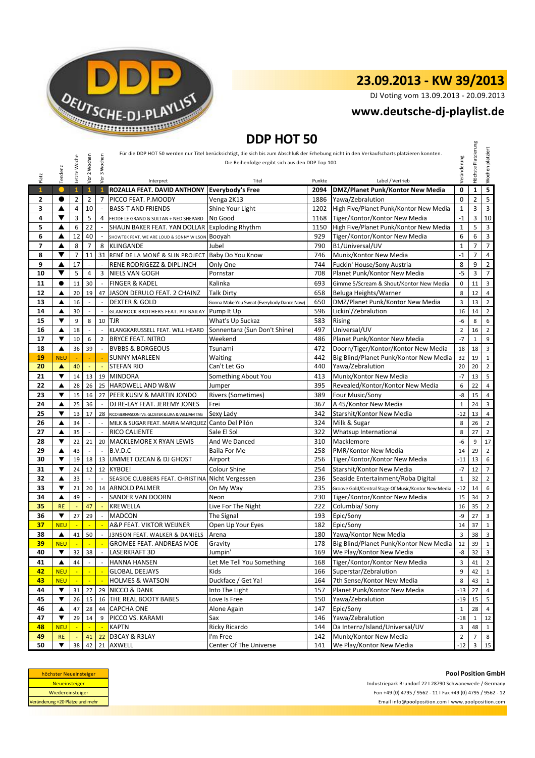

DJ Voting vom 13.09.2013 - 20.09.2013

### **<www.deutsche-dj-playlist.de>**

## **DDP HOT 50**

| Für die DDP HOT 50 werden nur Titel berücksichtigt, die sich bis zum Abschluß der Erhebung nicht in den Verkaufscharts platzieren konnten.<br>2 Wochen<br>3 Wochen<br>Letzte Woche<br>Die Reihenfolge ergibt sich aus den DDP Top 100.<br>Tendenz<br>Platz<br>Vor<br>yor<br>Interpret<br>Titel<br>Punkte<br>$\mathbf{1}$<br>ROZALLA FEAT. DAVID ANTHONY<br><b>Everybody's Free</b><br>$\mathbf{1}$<br>$\mathbf{1}$<br>$\mathbf{1}$<br>2094<br>$\mathbf{2}$<br>0<br>$\overline{2}$<br>$\overline{2}$<br>7<br>PICCO FEAT. P.MOODY<br>1886<br>Yawa/Zebralution<br>Venga 2K13<br>▲<br>10<br>3<br>4<br><b>BASS-T AND FRIENDS</b><br>Shine Your Light<br>1202<br>▼<br>3<br>5<br>4<br>4<br>No Good<br>1168<br>Tiger/Kontor/Kontor New Media<br>FEDDE LE GRAND & SULTAN + NED SHEPARD<br>▲<br>6<br>22<br>5<br>SHAUN BAKER FEAT. YAN DOLLAR<br>1150<br><b>Exploding Rhythm</b><br>6<br>12<br>40<br>929<br>Tiger/Kontor/Kontor New Media<br>▲<br>Booyah<br>SHOWTEK FEAT. WE ARE LOUD & SONNY WILSON<br>8<br>7<br>7<br>▲<br>8<br>B1/Universal/UV<br><b>KLINGANDE</b><br>Jubel<br>790<br>▼<br>$\overline{7}$<br>31 RENÉ DE LA MONÉ & SLIN PROJECT<br>8<br>11<br>Baby Do You Know<br>746<br>Munix/Kontor New Media<br>17<br>9<br>▲<br>RENE RODRIGEZZ & DIPL.INCH<br>744<br>Fuckin' House/Sony Austria<br>Only One<br>$\sim$<br>5<br>▼<br>10<br>4<br>3<br>708<br>Planet Punk/Kontor New Media<br>NIELS VAN GOGH<br>Pornstar | Label / Vertrieb<br>DMZ/Planet Punk/Kontor New Media<br>High Five/Planet Punk/Kontor New Media<br>High Five/Planet Punk/Kontor New Media | Veränderung<br>$\mathbf 0$<br>$\mathbf 0$<br>$\mathbf{1}$<br>$-1$<br>$\mathbf{1}$<br>6<br>$\mathbf 1$<br>$-1$ | Höchste Platzierung<br>$\mathbf 1$<br>$\overline{2}$<br>3<br>3<br>5<br>6<br>$\overline{7}$ | Wochen platziert<br>$\overline{\mathbf{5}}$<br>$\overline{5}$<br>$\overline{3}$<br>10<br>$\mathbf{3}$<br>$\mathsf 3$ |
|---------------------------------------------------------------------------------------------------------------------------------------------------------------------------------------------------------------------------------------------------------------------------------------------------------------------------------------------------------------------------------------------------------------------------------------------------------------------------------------------------------------------------------------------------------------------------------------------------------------------------------------------------------------------------------------------------------------------------------------------------------------------------------------------------------------------------------------------------------------------------------------------------------------------------------------------------------------------------------------------------------------------------------------------------------------------------------------------------------------------------------------------------------------------------------------------------------------------------------------------------------------------------------------------------------------------------------------------------------------------------------------------------------------|------------------------------------------------------------------------------------------------------------------------------------------|---------------------------------------------------------------------------------------------------------------|--------------------------------------------------------------------------------------------|----------------------------------------------------------------------------------------------------------------------|
|                                                                                                                                                                                                                                                                                                                                                                                                                                                                                                                                                                                                                                                                                                                                                                                                                                                                                                                                                                                                                                                                                                                                                                                                                                                                                                                                                                                                               |                                                                                                                                          |                                                                                                               |                                                                                            |                                                                                                                      |
|                                                                                                                                                                                                                                                                                                                                                                                                                                                                                                                                                                                                                                                                                                                                                                                                                                                                                                                                                                                                                                                                                                                                                                                                                                                                                                                                                                                                               |                                                                                                                                          |                                                                                                               |                                                                                            |                                                                                                                      |
|                                                                                                                                                                                                                                                                                                                                                                                                                                                                                                                                                                                                                                                                                                                                                                                                                                                                                                                                                                                                                                                                                                                                                                                                                                                                                                                                                                                                               |                                                                                                                                          |                                                                                                               |                                                                                            |                                                                                                                      |
|                                                                                                                                                                                                                                                                                                                                                                                                                                                                                                                                                                                                                                                                                                                                                                                                                                                                                                                                                                                                                                                                                                                                                                                                                                                                                                                                                                                                               |                                                                                                                                          |                                                                                                               |                                                                                            |                                                                                                                      |
|                                                                                                                                                                                                                                                                                                                                                                                                                                                                                                                                                                                                                                                                                                                                                                                                                                                                                                                                                                                                                                                                                                                                                                                                                                                                                                                                                                                                               |                                                                                                                                          |                                                                                                               |                                                                                            |                                                                                                                      |
|                                                                                                                                                                                                                                                                                                                                                                                                                                                                                                                                                                                                                                                                                                                                                                                                                                                                                                                                                                                                                                                                                                                                                                                                                                                                                                                                                                                                               |                                                                                                                                          |                                                                                                               |                                                                                            |                                                                                                                      |
|                                                                                                                                                                                                                                                                                                                                                                                                                                                                                                                                                                                                                                                                                                                                                                                                                                                                                                                                                                                                                                                                                                                                                                                                                                                                                                                                                                                                               |                                                                                                                                          |                                                                                                               |                                                                                            |                                                                                                                      |
|                                                                                                                                                                                                                                                                                                                                                                                                                                                                                                                                                                                                                                                                                                                                                                                                                                                                                                                                                                                                                                                                                                                                                                                                                                                                                                                                                                                                               |                                                                                                                                          |                                                                                                               |                                                                                            |                                                                                                                      |
|                                                                                                                                                                                                                                                                                                                                                                                                                                                                                                                                                                                                                                                                                                                                                                                                                                                                                                                                                                                                                                                                                                                                                                                                                                                                                                                                                                                                               |                                                                                                                                          |                                                                                                               |                                                                                            |                                                                                                                      |
|                                                                                                                                                                                                                                                                                                                                                                                                                                                                                                                                                                                                                                                                                                                                                                                                                                                                                                                                                                                                                                                                                                                                                                                                                                                                                                                                                                                                               |                                                                                                                                          |                                                                                                               |                                                                                            |                                                                                                                      |
|                                                                                                                                                                                                                                                                                                                                                                                                                                                                                                                                                                                                                                                                                                                                                                                                                                                                                                                                                                                                                                                                                                                                                                                                                                                                                                                                                                                                               |                                                                                                                                          |                                                                                                               |                                                                                            | $\overline{7}$                                                                                                       |
|                                                                                                                                                                                                                                                                                                                                                                                                                                                                                                                                                                                                                                                                                                                                                                                                                                                                                                                                                                                                                                                                                                                                                                                                                                                                                                                                                                                                               |                                                                                                                                          |                                                                                                               | $\overline{7}$                                                                             | $\overline{4}$                                                                                                       |
|                                                                                                                                                                                                                                                                                                                                                                                                                                                                                                                                                                                                                                                                                                                                                                                                                                                                                                                                                                                                                                                                                                                                                                                                                                                                                                                                                                                                               |                                                                                                                                          | 8                                                                                                             | 9                                                                                          | $\mathbf 2$                                                                                                          |
|                                                                                                                                                                                                                                                                                                                                                                                                                                                                                                                                                                                                                                                                                                                                                                                                                                                                                                                                                                                                                                                                                                                                                                                                                                                                                                                                                                                                               |                                                                                                                                          | $-5$                                                                                                          | 3                                                                                          | $\overline{7}$                                                                                                       |
| <b>FINGER &amp; KADEL</b><br>$\bullet$<br>30<br>Kalinka<br>693<br>11<br>11                                                                                                                                                                                                                                                                                                                                                                                                                                                                                                                                                                                                                                                                                                                                                                                                                                                                                                                                                                                                                                                                                                                                                                                                                                                                                                                                    | Gimme 5/Scream & Shout/Kontor New Media                                                                                                  | 0                                                                                                             | 11                                                                                         | $\overline{3}$                                                                                                       |
| 12<br>20<br>19<br>JASON DERULO FEAT. 2 CHAINZ<br>658<br>Beluga Heights/Warner<br>▲<br>47<br><b>Talk Dirty</b>                                                                                                                                                                                                                                                                                                                                                                                                                                                                                                                                                                                                                                                                                                                                                                                                                                                                                                                                                                                                                                                                                                                                                                                                                                                                                                 |                                                                                                                                          | 8                                                                                                             | 12                                                                                         | $\overline{4}$                                                                                                       |
| 13<br>16<br><b>DEXTER &amp; GOLD</b><br>650<br>DMZ/Planet Punk/Kontor New Media<br>▲<br>$\overline{\phantom{a}}$<br>$\overline{a}$<br>Gonna Make You Sweat (Everybody Dance Now)                                                                                                                                                                                                                                                                                                                                                                                                                                                                                                                                                                                                                                                                                                                                                                                                                                                                                                                                                                                                                                                                                                                                                                                                                              |                                                                                                                                          | 3                                                                                                             | 13                                                                                         | $\overline{2}$                                                                                                       |
| 14<br>596<br>Lickin'/Zebralution<br>30<br>▲<br>Pump It Up<br><b>GLAMROCK BROTHERS FEAT. PIT BAILAY</b>                                                                                                                                                                                                                                                                                                                                                                                                                                                                                                                                                                                                                                                                                                                                                                                                                                                                                                                                                                                                                                                                                                                                                                                                                                                                                                        |                                                                                                                                          | 16                                                                                                            | 14                                                                                         | $\overline{2}$                                                                                                       |
| ▼<br>9<br>8<br>583<br>15<br>$10$ TJR<br>What's Up Suckaz<br><b>Rising</b>                                                                                                                                                                                                                                                                                                                                                                                                                                                                                                                                                                                                                                                                                                                                                                                                                                                                                                                                                                                                                                                                                                                                                                                                                                                                                                                                     |                                                                                                                                          | -6                                                                                                            | 8                                                                                          | 6                                                                                                                    |
| Universal/UV<br>16<br>Sonnentanz (Sun Don't Shine)<br>497<br>▲<br>18<br>KLANGKARUSSELL FEAT. WILL HEARD<br>$\overline{a}$<br>$\overline{a}$<br>17<br>▼<br>10<br>486<br><b>BRYCE FEAT. NITRO</b>                                                                                                                                                                                                                                                                                                                                                                                                                                                                                                                                                                                                                                                                                                                                                                                                                                                                                                                                                                                                                                                                                                                                                                                                               |                                                                                                                                          | $\overline{2}$<br>$-7$                                                                                        | 16                                                                                         | $\overline{2}$                                                                                                       |
| Planet Punk/Kontor New Media<br>6<br>$\overline{2}$<br>Weekend<br>472<br>18<br>▲<br>36<br>39<br><b>BVBBS &amp; BORGEOUS</b><br>Tsunami                                                                                                                                                                                                                                                                                                                                                                                                                                                                                                                                                                                                                                                                                                                                                                                                                                                                                                                                                                                                                                                                                                                                                                                                                                                                        | Doorn/Tiger/Kontor/Kontor New Media                                                                                                      | 18                                                                                                            | $\mathbf{1}$<br>18                                                                         | 9<br>$\overline{3}$                                                                                                  |
| <b>SUNNY MARLEEN</b><br>442<br>19<br><b>NEU</b><br>Waiting                                                                                                                                                                                                                                                                                                                                                                                                                                                                                                                                                                                                                                                                                                                                                                                                                                                                                                                                                                                                                                                                                                                                                                                                                                                                                                                                                    | Big Blind/Planet Punk/Kontor New Media                                                                                                   | 32                                                                                                            | 19                                                                                         | $\mathbf{1}$                                                                                                         |
| 20<br>40<br>Can't Let Go<br>440<br>Yawa/Zebralution<br>A<br>STEFAN RIO<br>÷,                                                                                                                                                                                                                                                                                                                                                                                                                                                                                                                                                                                                                                                                                                                                                                                                                                                                                                                                                                                                                                                                                                                                                                                                                                                                                                                                  |                                                                                                                                          | 20                                                                                                            | 20                                                                                         | $\overline{2}$                                                                                                       |
| 21<br>▼<br>413<br>Munix/Kontor New Media<br>14<br>13<br>19<br><b>MINDORA</b><br>Something About You                                                                                                                                                                                                                                                                                                                                                                                                                                                                                                                                                                                                                                                                                                                                                                                                                                                                                                                                                                                                                                                                                                                                                                                                                                                                                                           |                                                                                                                                          | $-7$                                                                                                          | 13                                                                                         | 5                                                                                                                    |
| 22<br>26<br>25 HARDWELL AND W&W<br>395<br>Revealed/Kontor/Kontor New Media<br>28<br>▲<br>Jumper                                                                                                                                                                                                                                                                                                                                                                                                                                                                                                                                                                                                                                                                                                                                                                                                                                                                                                                                                                                                                                                                                                                                                                                                                                                                                                               |                                                                                                                                          | 6                                                                                                             | 22                                                                                         | $\overline{4}$                                                                                                       |
| 23<br>▼<br>PEER KUSIV & MARTIN JONDO<br>Rivers (Sometimes)<br>389<br>Four Music/Sony<br>15<br>16<br>27                                                                                                                                                                                                                                                                                                                                                                                                                                                                                                                                                                                                                                                                                                                                                                                                                                                                                                                                                                                                                                                                                                                                                                                                                                                                                                        |                                                                                                                                          | -8                                                                                                            | 15                                                                                         | $\overline{4}$                                                                                                       |
| 24<br>25<br>36<br>367<br>A 45/Kontor New Media<br>▲<br>DJ RE-LAY FEAT. JEREMY JONES<br>Frei                                                                                                                                                                                                                                                                                                                                                                                                                                                                                                                                                                                                                                                                                                                                                                                                                                                                                                                                                                                                                                                                                                                                                                                                                                                                                                                   |                                                                                                                                          | $\mathbf{1}$                                                                                                  | 24                                                                                         | $\overline{3}$                                                                                                       |
| ▼<br>25<br>13<br>342<br>Starshit/Kontor New Media<br>17<br>28<br>Sexy Lady<br>RICO BERNASCONI VS. GLOSTER & LIRA & WILLIAM TAG                                                                                                                                                                                                                                                                                                                                                                                                                                                                                                                                                                                                                                                                                                                                                                                                                                                                                                                                                                                                                                                                                                                                                                                                                                                                                |                                                                                                                                          | $-12$                                                                                                         | 13                                                                                         | $\overline{4}$                                                                                                       |
| 324<br>26<br>▲<br>34<br>Canto Del Pilón<br>Milk & Sugar<br>MILK & SUGAR FEAT. MARIA MARQUEZ                                                                                                                                                                                                                                                                                                                                                                                                                                                                                                                                                                                                                                                                                                                                                                                                                                                                                                                                                                                                                                                                                                                                                                                                                                                                                                                   |                                                                                                                                          | 8                                                                                                             | 26                                                                                         | $\overline{2}$                                                                                                       |
| 35<br>RICO CALIENTE<br>Sale El Sol<br>322<br>Whatsup International<br>27<br>▲<br>$\overline{a}$<br>$\overline{a}$                                                                                                                                                                                                                                                                                                                                                                                                                                                                                                                                                                                                                                                                                                                                                                                                                                                                                                                                                                                                                                                                                                                                                                                                                                                                                             |                                                                                                                                          | 8                                                                                                             | 27                                                                                         | $\overline{2}$                                                                                                       |
| 22<br>MACKLEMORE X RYAN LEWIS<br>310<br>Macklemore<br>28<br>▼<br>21<br>20<br>And We Danced                                                                                                                                                                                                                                                                                                                                                                                                                                                                                                                                                                                                                                                                                                                                                                                                                                                                                                                                                                                                                                                                                                                                                                                                                                                                                                                    |                                                                                                                                          | $-6$                                                                                                          | 9                                                                                          | 17                                                                                                                   |
| 43<br>29<br>B.V.D.C<br>Baila For Me<br>258<br>PMR/Kontor New Media<br>▲                                                                                                                                                                                                                                                                                                                                                                                                                                                                                                                                                                                                                                                                                                                                                                                                                                                                                                                                                                                                                                                                                                                                                                                                                                                                                                                                       |                                                                                                                                          | 14                                                                                                            | 29                                                                                         | $\overline{2}$                                                                                                       |
| <b>UMMET OZCAN &amp; DJ GHOST</b><br>256<br>30<br>▼<br>Tiger/Kontor/Kontor New Media<br>19<br>18<br>13<br>Airport                                                                                                                                                                                                                                                                                                                                                                                                                                                                                                                                                                                                                                                                                                                                                                                                                                                                                                                                                                                                                                                                                                                                                                                                                                                                                             |                                                                                                                                          | $-11$                                                                                                         | 13                                                                                         | 6                                                                                                                    |
| 31<br>▼<br><b>KYBOE!</b><br>Colour Shine<br>254<br>Starshit/Kontor New Media<br>12<br>12<br>24                                                                                                                                                                                                                                                                                                                                                                                                                                                                                                                                                                                                                                                                                                                                                                                                                                                                                                                                                                                                                                                                                                                                                                                                                                                                                                                |                                                                                                                                          | $-7$                                                                                                          | 12                                                                                         | $7\overline{ }$                                                                                                      |
| 32<br>$\overline{\phantom{a}}$<br>236<br>Seaside Entertainment/Roba Digital<br>33<br>SEASIDE CLUBBERS FEAT. CHRISTINA<br>Nicht Vergessen<br>▲<br>$\overline{a}$                                                                                                                                                                                                                                                                                                                                                                                                                                                                                                                                                                                                                                                                                                                                                                                                                                                                                                                                                                                                                                                                                                                                                                                                                                               |                                                                                                                                          | $\mathbf{1}$                                                                                                  | 32                                                                                         | $\overline{2}$                                                                                                       |
| 235<br>33<br>▼<br>21<br>20 <sub>1</sub><br>14 ARNOLD PALMER<br>On My Way                                                                                                                                                                                                                                                                                                                                                                                                                                                                                                                                                                                                                                                                                                                                                                                                                                                                                                                                                                                                                                                                                                                                                                                                                                                                                                                                      | Groove Gold/Central Stage Of Music/Kontor New Media                                                                                      | $-12$                                                                                                         | 14                                                                                         | 6                                                                                                                    |
| 34<br>▲<br>49<br>230<br>Tiger/Kontor/Kontor New Media<br>SANDER VAN DOORN<br>Neon<br>$\overline{\phantom{a}}$                                                                                                                                                                                                                                                                                                                                                                                                                                                                                                                                                                                                                                                                                                                                                                                                                                                                                                                                                                                                                                                                                                                                                                                                                                                                                                 |                                                                                                                                          | 15                                                                                                            | 34                                                                                         | $\overline{2}$                                                                                                       |
| 222<br>Columbia/ Sony<br>35<br><b>RE</b><br>47<br>KREWELLA<br>Live For The Night                                                                                                                                                                                                                                                                                                                                                                                                                                                                                                                                                                                                                                                                                                                                                                                                                                                                                                                                                                                                                                                                                                                                                                                                                                                                                                                              |                                                                                                                                          | 16                                                                                                            | 35                                                                                         | $\overline{2}$                                                                                                       |
| ▼<br>193<br>Epic/Sony<br>36<br>27<br>29<br><b>MADCON</b><br>The Signal                                                                                                                                                                                                                                                                                                                                                                                                                                                                                                                                                                                                                                                                                                                                                                                                                                                                                                                                                                                                                                                                                                                                                                                                                                                                                                                                        |                                                                                                                                          | -9                                                                                                            | 27                                                                                         | $\overline{3}$                                                                                                       |
| 37<br><b>NEU</b><br>A&P FEAT. VIKTOR WEIJNER<br>182<br>Epic/Sony<br>÷<br>Open Up Your Eyes                                                                                                                                                                                                                                                                                                                                                                                                                                                                                                                                                                                                                                                                                                                                                                                                                                                                                                                                                                                                                                                                                                                                                                                                                                                                                                                    |                                                                                                                                          | 14                                                                                                            | 37                                                                                         | $\mathbf{1}$                                                                                                         |
| 38<br>180<br>▲<br>Yawa/Kontor New Media<br>41<br>50<br>J3N5ON FEAT. WALKER & DANIELS<br>$\overline{a}$<br>Arena<br>178                                                                                                                                                                                                                                                                                                                                                                                                                                                                                                                                                                                                                                                                                                                                                                                                                                                                                                                                                                                                                                                                                                                                                                                                                                                                                        | Big Blind/Planet Punk/Kontor New Media                                                                                                   | $\overline{3}$                                                                                                | 38                                                                                         | $\overline{\mathbf{3}}$                                                                                              |
| <b>GROMEE FEAT. ANDREAS MOE</b><br>39<br><b>NEU</b><br>$\sim$<br>$\sim$<br>$\sim$<br>Gravity<br>We Play/Kontor New Media<br>40<br>▼<br>32 <sub>1</sub><br>38<br>LASERKRAFT 3D<br>169<br>Jumpin'                                                                                                                                                                                                                                                                                                                                                                                                                                                                                                                                                                                                                                                                                                                                                                                                                                                                                                                                                                                                                                                                                                                                                                                                               |                                                                                                                                          | $12 \mid 39 \mid 1$<br>-8                                                                                     | 32                                                                                         | $\overline{\mathbf{3}}$                                                                                              |
| Tiger/Kontor/Kontor New Media<br>44<br><b>HANNA HANSEN</b><br>Let Me Tell You Something<br>41<br>▲<br>168                                                                                                                                                                                                                                                                                                                                                                                                                                                                                                                                                                                                                                                                                                                                                                                                                                                                                                                                                                                                                                                                                                                                                                                                                                                                                                     |                                                                                                                                          | 3                                                                                                             | 41                                                                                         | $\overline{2}$                                                                                                       |
| Kids<br>166<br>Superstar/Zebralution<br>42<br><b>NEU</b><br><b>GLOBAL DEEJAYS</b>                                                                                                                                                                                                                                                                                                                                                                                                                                                                                                                                                                                                                                                                                                                                                                                                                                                                                                                                                                                                                                                                                                                                                                                                                                                                                                                             |                                                                                                                                          | 9                                                                                                             | 42                                                                                         | 1                                                                                                                    |
| Duckface / Get Ya!<br>7th Sense/Kontor New Media<br><b>NEU</b><br><b>HOLMES &amp; WATSON</b><br>164<br>43                                                                                                                                                                                                                                                                                                                                                                                                                                                                                                                                                                                                                                                                                                                                                                                                                                                                                                                                                                                                                                                                                                                                                                                                                                                                                                     |                                                                                                                                          | 8                                                                                                             | 43                                                                                         | $\mathbf{1}$                                                                                                         |
| Planet Punk/Kontor New Media<br>44<br>$\blacktriangledown$<br>29 NICCO & DANK<br>Into The Light<br>157<br>31<br>27 <sup>1</sup>                                                                                                                                                                                                                                                                                                                                                                                                                                                                                                                                                                                                                                                                                                                                                                                                                                                                                                                                                                                                                                                                                                                                                                                                                                                                               |                                                                                                                                          | $-13$                                                                                                         | 27                                                                                         | $\overline{4}$                                                                                                       |
| 45<br>▼<br>26<br>15<br>16 THE REAL BOOTY BABES<br>150<br>Yawa/Zebralution<br>Love Is Free                                                                                                                                                                                                                                                                                                                                                                                                                                                                                                                                                                                                                                                                                                                                                                                                                                                                                                                                                                                                                                                                                                                                                                                                                                                                                                                     |                                                                                                                                          | $-19$                                                                                                         | 15                                                                                         | 5                                                                                                                    |
| 46<br>44 CAPCHA ONE<br>147<br>Epic/Sony<br>Alone Again<br>47<br>28<br>▲                                                                                                                                                                                                                                                                                                                                                                                                                                                                                                                                                                                                                                                                                                                                                                                                                                                                                                                                                                                                                                                                                                                                                                                                                                                                                                                                       |                                                                                                                                          | $\mathbf{1}$                                                                                                  | 28                                                                                         |                                                                                                                      |
| 29<br>Yawa/Zebralution<br>47<br>▼<br>14<br>PICCO VS. KARAMI<br>Sax<br>146<br>9                                                                                                                                                                                                                                                                                                                                                                                                                                                                                                                                                                                                                                                                                                                                                                                                                                                                                                                                                                                                                                                                                                                                                                                                                                                                                                                                |                                                                                                                                          | $-18$                                                                                                         |                                                                                            | 12                                                                                                                   |
| Da Internz/Island/Universal/UV<br>KAPTN<br>Ricky Ricardo<br>144<br>48<br><b>NEU</b>                                                                                                                                                                                                                                                                                                                                                                                                                                                                                                                                                                                                                                                                                                                                                                                                                                                                                                                                                                                                                                                                                                                                                                                                                                                                                                                           |                                                                                                                                          | 3                                                                                                             | 48                                                                                         | $\mathbf{1}$                                                                                                         |
| D3CAY & R3LAY<br>Munix/Kontor New Media<br>49<br>142<br><b>RE</b><br>I'm Free<br>41<br>22                                                                                                                                                                                                                                                                                                                                                                                                                                                                                                                                                                                                                                                                                                                                                                                                                                                                                                                                                                                                                                                                                                                                                                                                                                                                                                                     |                                                                                                                                          | $\overline{2}$                                                                                                | $\overline{7}$                                                                             | 8                                                                                                                    |
| 50<br>38<br>42 21 AXWELL<br>Center Of The Universe<br>We Play/Kontor New Media<br>▼<br>141                                                                                                                                                                                                                                                                                                                                                                                                                                                                                                                                                                                                                                                                                                                                                                                                                                                                                                                                                                                                                                                                                                                                                                                                                                                                                                                    |                                                                                                                                          | $-12$                                                                                                         | $\overline{\mathbf{3}}$                                                                    | 15                                                                                                                   |

| höchster Neueinsteiger          |  |  |  |  |  |
|---------------------------------|--|--|--|--|--|
| <b>Neueinsteiger</b>            |  |  |  |  |  |
| Wiedereinsteiger                |  |  |  |  |  |
| Veränderung +20 Plätze und mehr |  |  |  |  |  |

**Pool Position GmbH** <Email info@poolposition.com I www.poolposition.com> Industriepark Brundorf 22 I 28790 Schwanewede / Germany Fon +49 (0) 4795 / 9562 - 11 I Fax +49 (0) 4795 / 9562 - 12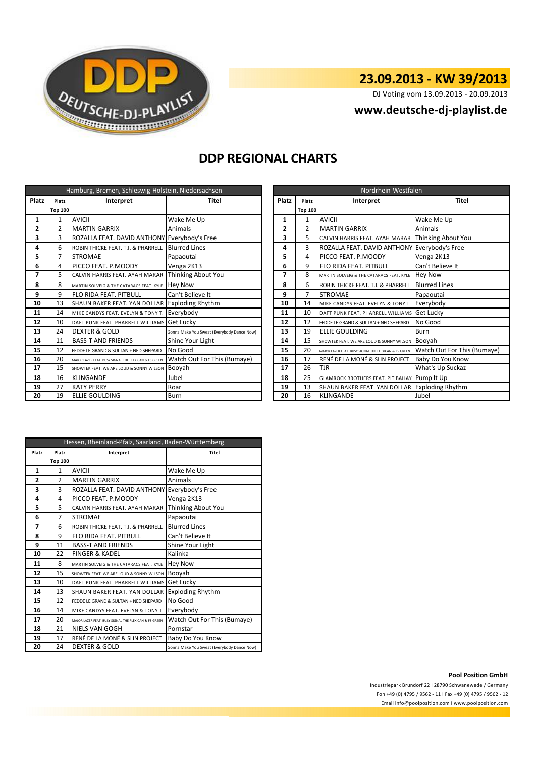

DJ Voting vom 13.09.2013 - 20.09.2013

### **<www.deutsche-dj-playlist.de>**

### **DDP REGIONAL CHARTS**

| Hamburg, Bremen, Schleswig-Holstein, Niedersachsen |                |                                                       |                                            |  | Nordrhein-Westfalen |                |                                                       |                             |  |
|----------------------------------------------------|----------------|-------------------------------------------------------|--------------------------------------------|--|---------------------|----------------|-------------------------------------------------------|-----------------------------|--|
| Platz                                              | Platz          | Interpret                                             | <b>Titel</b>                               |  | <b>Platz</b>        | Platz          | Interpret                                             | <b>Titel</b>                |  |
|                                                    | <b>Top 100</b> |                                                       |                                            |  |                     | <b>Top 100</b> |                                                       |                             |  |
| 1                                                  |                | <b>AVICII</b>                                         | Wake Me Up                                 |  |                     | 1              | <b>AVICII</b>                                         | Wake Me Up                  |  |
| 2                                                  | 2              | <b>MARTIN GARRIX</b>                                  | Animals                                    |  | 2                   | $\overline{2}$ | <b>MARTIN GARRIX</b>                                  | Animals                     |  |
| 3                                                  | 3              | ROZALLA FEAT. DAVID ANTHONY Everybody's Free          |                                            |  | 3                   | 5              | CALVIN HARRIS FEAT. AYAH MARAR                        | Thinking About You          |  |
| 4                                                  | 6              | ROBIN THICKE FEAT. T.I. & PHARRELL                    | <b>Blurred Lines</b>                       |  | 4                   | $\overline{3}$ | ROZALLA FEAT. DAVID ANTHONY Everybody's Free          |                             |  |
| 5                                                  |                | <b>STROMAE</b>                                        | Papaoutai                                  |  | 5                   | 4              | PICCO FEAT. P.MOODY                                   | Venga 2K13                  |  |
| 6                                                  | 4              | PICCO FEAT. P.MOODY                                   | Venga 2K13                                 |  | 6                   | 9              | <b>FLO RIDA FEAT. PITBULL</b>                         | Can't Believe It            |  |
| 7                                                  | 5              | CALVIN HARRIS FEAT. AYAH MARAR                        | Thinking About You                         |  | 7                   | 8              | MARTIN SOLVEIG & THE CATARACS FEAT. KYLE              | Hey Now                     |  |
| 8                                                  | 8              | MARTIN SOLVEIG & THE CATARACS FEAT. KYLE              | <b>Hey Now</b>                             |  | 8                   | 6              | ROBIN THICKE FEAT. T.I. & PHARRELL                    | <b>Blurred Lines</b>        |  |
| 9                                                  | 9              | FLO RIDA FEAT, PITBULL                                | Can't Believe It                           |  | 9                   | $\overline{7}$ | <b>STROMAE</b>                                        | Papaoutai                   |  |
| 10                                                 | 13             | SHAUN BAKER FEAT. YAN DOLLAR Exploding Rhythm         |                                            |  | 10                  | 14             | MIKE CANDYS FEAT. EVELYN & TONY T.                    | Everybody                   |  |
| 11                                                 | 14             | MIKE CANDYS FEAT. EVELYN & TONY T.                    | Everybody                                  |  | 11                  | 10             | DAFT PUNK FEAT. PHARRELL WILLIAMS Get Lucky           |                             |  |
| 12                                                 | 10             | DAFT PUNK FEAT. PHARRELL WILLIAMS                     | <b>Get Lucky</b>                           |  | 12                  | 12             | FEDDE LE GRAND & SULTAN + NED SHEPARD                 | No Good                     |  |
| 13                                                 | 24             | <b>DEXTER &amp; GOLD</b>                              | Gonna Make You Sweat (Everybody Dance Now) |  | 13                  | 19             | <b>ELLIE GOULDING</b>                                 | <b>Burn</b>                 |  |
| 14                                                 | 11             | <b>BASS-T AND FRIENDS</b>                             | Shine Your Light                           |  | 14                  | 15             | SHOWTEK FEAT. WE ARE LOUD & SONNY WILSON              | Booyah                      |  |
| 15                                                 | 12             | FEDDE LE GRAND & SULTAN + NED SHEPARD                 | No Good                                    |  | 15                  | 20             | MAJOR LAZER FEAT. BUSY SIGNAL THE FLEXICAN & FS GREEN | Watch Out For This (Bumaye) |  |
| 16                                                 | 20             | MAJOR LAZER FEAT. BUSY SIGNAL THE FLEXICAN & FS GREEN | Watch Out For This (Bumaye)                |  | 16                  | 17             | RENÉ DE LA MONÉ & SLIN PROJECT                        | Baby Do You Know            |  |
| 17                                                 | 15             | SHOWTEK FEAT. WE ARE LOUD & SONNY WILSON              | Booyah                                     |  | 17                  | 26             | <b>TJR</b>                                            | What's Up Suckaz            |  |
| 18                                                 | 16             | <b>KLINGANDE</b>                                      | Jubel                                      |  | 18                  | 25             | <b>GLAMROCK BROTHERS FEAT. PIT BAILAY Pump It Up</b>  |                             |  |
| 19                                                 | 27             | <b>KATY PERRY</b>                                     | Roar                                       |  | 19                  | 13             | SHAUN BAKER FEAT. YAN DOLLAR Exploding Rhythm         |                             |  |
| 20                                                 | 19             | <b>ELLIE GOULDING</b>                                 | Burn                                       |  | 20                  | 16             | <b>KLINGANDE</b>                                      | Jubel                       |  |

|                | Nordrhein-Westfalen |                                                       |                             |  |  |  |  |  |
|----------------|---------------------|-------------------------------------------------------|-----------------------------|--|--|--|--|--|
| Platz          | Platz               | Interpret                                             | <b>Titel</b>                |  |  |  |  |  |
|                | <b>Top 100</b>      |                                                       |                             |  |  |  |  |  |
| 1              | 1                   | <b>AVICII</b>                                         | Wake Me Up                  |  |  |  |  |  |
| $\overline{2}$ | $\mathfrak{p}$      | <b>MARTIN GARRIX</b>                                  | Animals                     |  |  |  |  |  |
| 3              | 5                   | CALVIN HARRIS FEAT, AYAH MARAR                        | Thinking About You          |  |  |  |  |  |
| 4              | 3                   | ROZALLA FEAT. DAVID ANTHONY                           | Everybody's Free            |  |  |  |  |  |
| 5              | 4                   | PICCO FEAT. P.MOODY                                   | Venga 2K13                  |  |  |  |  |  |
| 6              | 9                   | FLO RIDA FEAT. PITBULL                                | Can't Believe It            |  |  |  |  |  |
| 7              | 8                   | MARTIN SOLVEIG & THE CATARACS FEAT. KYLE              | <b>Hey Now</b>              |  |  |  |  |  |
| 8              | 6                   | ROBIN THICKE FEAT. T.I. & PHARRELL                    | <b>Blurred Lines</b>        |  |  |  |  |  |
| 9              | 7                   | <b>STROMAE</b>                                        | Papaoutai                   |  |  |  |  |  |
| 10             | 14                  | MIKE CANDYS FEAT. EVELYN & TONY T.                    | Everybody                   |  |  |  |  |  |
| 11             | 10                  | DAFT PUNK FFAT. PHARRFLL WILLIAMS                     | Get Lucky                   |  |  |  |  |  |
| 12             | 12                  | FEDDE LE GRAND & SULTAN + NED SHEPARD                 | No Good                     |  |  |  |  |  |
| 13             | 19                  | ELLIE GOULDING                                        | Burn                        |  |  |  |  |  |
| 14             | 15                  | SHOWTEK FEAT. WE ARE LOUD & SONNY WILSON              | Booyah                      |  |  |  |  |  |
| 15             | 20                  | MAJOR LAZER FEAT, BUSY SIGNAL THE FLEXICAN & FS GREEN | Watch Out For This (Bumaye) |  |  |  |  |  |
| 16             | 17                  | RENÉ DE LA MONÉ & SLIN PROJECT                        | Baby Do You Know            |  |  |  |  |  |
| 17             | 26                  | TJR                                                   | What's Up Suckaz            |  |  |  |  |  |
| 18             | 25                  | <b>GLAMROCK BROTHERS FEAT. PIT BAILAY</b>             | Pump It Up                  |  |  |  |  |  |
| 19             | 13                  | SHAUN BAKER FEAT. YAN DOLLAR                          | <b>Exploding Rhythm</b>     |  |  |  |  |  |
| 20             | 16                  | <b>KLINGANDE</b>                                      | Jubel                       |  |  |  |  |  |

| Hessen, Rheinland-Pfalz, Saarland, Baden-Württemberg |                |                                                       |                                            |  |  |  |
|------------------------------------------------------|----------------|-------------------------------------------------------|--------------------------------------------|--|--|--|
| Platz                                                | Platz          | Interpret                                             | Titel                                      |  |  |  |
|                                                      | <b>Top 100</b> |                                                       |                                            |  |  |  |
| 1                                                    | $\mathbf{1}$   | AVICII                                                | Wake Me Up                                 |  |  |  |
| $\overline{2}$                                       | $\mathfrak{p}$ | <b>MARTIN GARRIX</b>                                  | Animals                                    |  |  |  |
| 3                                                    | 3              | ROZALLA FEAT. DAVID ANTHONY Everybody's Free          |                                            |  |  |  |
| 4                                                    | 4              | PICCO FEAT, P.MOODY                                   | Venga 2K13                                 |  |  |  |
| 5                                                    | 5              | CALVIN HARRIS FEAT. AYAH MARAR                        | Thinking About You                         |  |  |  |
| 6                                                    | 7              | <b>STROMAE</b>                                        | Papaoutai                                  |  |  |  |
| 7                                                    | 6              | ROBIN THICKE FEAT. T.I. & PHARRELL                    | <b>Blurred Lines</b>                       |  |  |  |
| 8                                                    | 9              | <b>FLO RIDA FEAT, PITBULL</b>                         | Can't Believe It                           |  |  |  |
| 9                                                    | 11             | <b>BASS-T AND FRIENDS</b>                             | Shine Your Light                           |  |  |  |
| 10                                                   | 22             | <b>FINGER &amp; KADEL</b>                             | Kalinka                                    |  |  |  |
| 11                                                   | 8              | MARTIN SOLVEIG & THE CATARACS FEAT. KYLE              | <b>Hey Now</b>                             |  |  |  |
| 12                                                   | 15             | SHOWTEK FEAT. WE ARE LOUD & SONNY WILSON              | Booyah                                     |  |  |  |
| 13                                                   | 10             | DAFT PUNK FFAT. PHARRFLL WILLIAMS                     | Get Lucky                                  |  |  |  |
| 14                                                   | 13             | SHAUN BAKER FEAT. YAN DOLLAR                          | <b>Exploding Rhythm</b>                    |  |  |  |
| 15                                                   | 12             | FFDDF LF GRAND & SULTAN + NFD SHFPARD                 | No Good                                    |  |  |  |
| 16                                                   | 14             | MIKE CANDYS FEAT. EVELYN & TONY T.                    | Everybody                                  |  |  |  |
| 17                                                   | 20             | MAJOR LAZER FEAT. BUSY SIGNAL THE FLEXICAN & FS GREEN | Watch Out For This (Bumaye)                |  |  |  |
| 18                                                   | 21             | NIELS VAN GOGH                                        | Pornstar                                   |  |  |  |
| 19                                                   | 17             | RENÉ DE LA MONÉ & SLIN PROJECT                        | Baby Do You Know                           |  |  |  |
| 20                                                   | 24             | <b>DEXTER &amp; GOLD</b>                              | Gonna Make You Sweat (Everybody Dance Now) |  |  |  |

#### **Pool Position GmbH**

Industriepark Brundorf 22 I 28790 Schwanewede / Germany Fon +49 (0) 4795 / 9562 - 11 I Fax +49 (0) 4795 / 9562 - 12 <Email info@poolposition.com I www.poolposition.com>